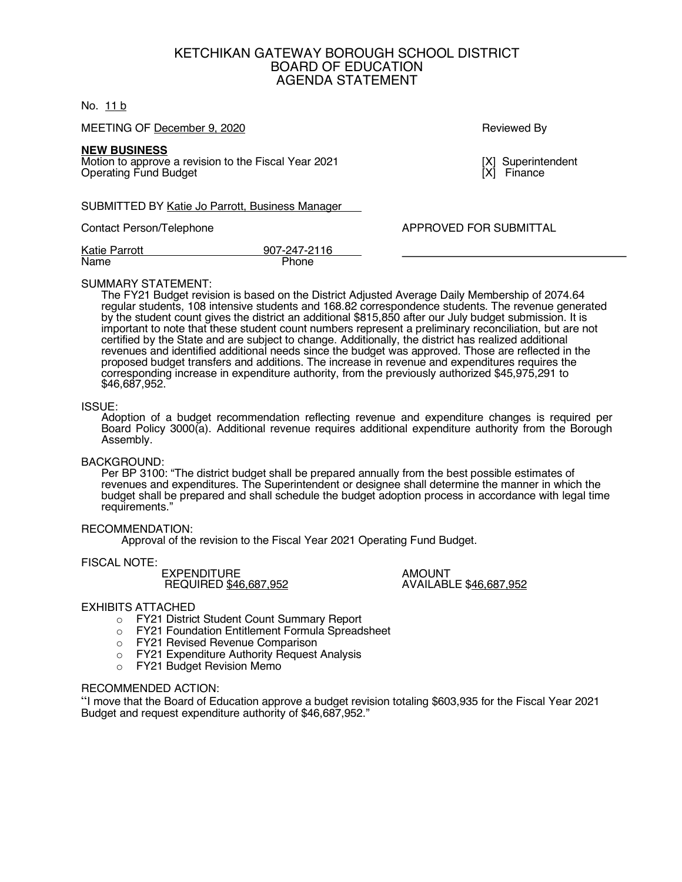# KETCHIKAN GATEWAY BOROUGH SCHOOL DISTRICT BOARD OF EDUCATION AGENDA STATEMENT

## No. 11 b

MEETING OF December 9, 2020 Reviewed By

### **NEW BUSINESS**

Motion to approve a revision to the Fiscal Year 2021 [X] Superintendent [X] Superintendent<br>Operating Fund Budget **Operating Fund Budget** 

SUBMITTED BY Katie Jo Parrott, Business Manager

Contact Person/Telephone **APPROVED FOR SUBMITTAL** 

| <b>Katie Parrott</b> | 907-247-2116 |
|----------------------|--------------|
| Name                 | Phone        |

### SUMMARY STATEMENT:

The FY21 Budget revision is based on the District Adjusted Average Daily Membership of 2074.64 regular students, 108 intensive students and 168.82 correspondence students. The revenue generated by the student count gives the district an additional \$815,850 after our July budget submission. It is important to note that these student count numbers represent a preliminary reconciliation, but are not certified by the State and are subject to change. Additionally, the district has realized additional revenues and identified additional needs since the budget was approved. Those are reflected in the proposed budget transfers and additions. The increase in revenue and expenditures requires the corresponding increase in expenditure authority, from the previously authorized \$45,975,291 to \$46,687,952.

### ISSUE:

Adoption of a budget recommendation reflecting revenue and expenditure changes is required per Board Policy 3000(a). Additional revenue requires additional expenditure authority from the Borough Assembly.

### BACKGROUND:

Per BP 3100: "The district budget shall be prepared annually from the best possible estimates of revenues and expenditures. The Superintendent or designee shall determine the manner in which the budget shall be prepared and shall schedule the budget adoption process in accordance with legal time requirements."

### RECOMMENDATION:

Approval of the revision to the Fiscal Year 2021 Operating Fund Budget.

### FISCAL NOTE:

EXPENDITURE AMOUNT REQUIRED \$46,687,952

## EXHIBITS ATTACHED

- o FY21 District Student Count Summary Report
- o FY21 Foundation Entitlement Formula Spreadsheet
- o FY21 Revised Revenue Comparison
- o FY21 Expenditure Authority Request Analysis
- o FY21 Budget Revision Memo

# RECOMMENDED ACTION:

"I move that the Board of Education approve a budget revision totaling \$603,935 for the Fiscal Year 2021 Budget and request expenditure authority of \$46,687,952."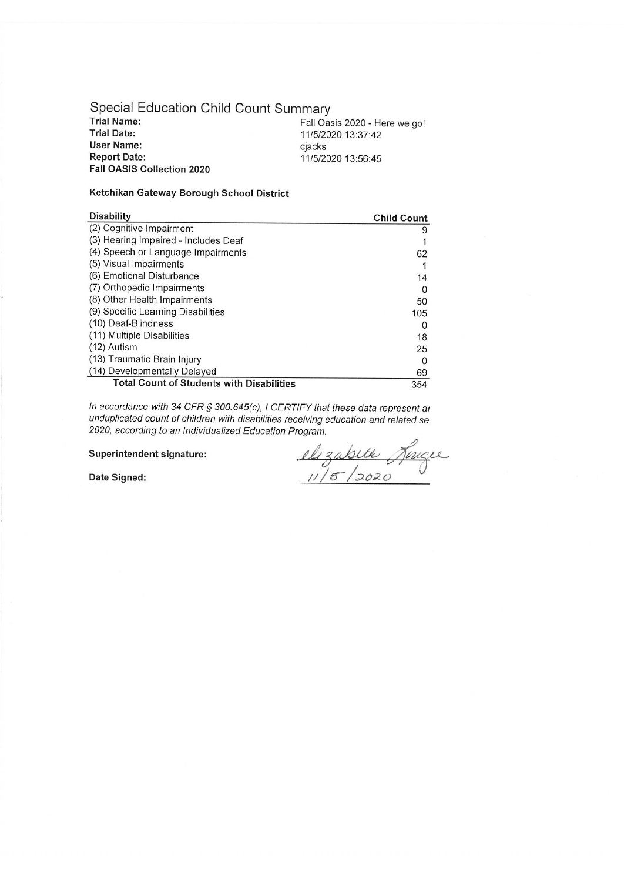Special Education Child Count Summary **Trial Name: Trial Date: User Name: Report Date:** Fall OASIS Collection 2020

Fall Oasis 2020 - Here we go! 11/5/2020 13:37:42 cjacks 11/5/2020 13:56:45

## Ketchikan Gateway Borough School District

| <b>Disability</b>                                | <b>Child Count</b> |
|--------------------------------------------------|--------------------|
| (2) Cognitive Impairment                         | 9                  |
| (3) Hearing Impaired - Includes Deaf             |                    |
| (4) Speech or Language Impairments               | 62                 |
| (5) Visual Impairments                           |                    |
| (6) Emotional Disturbance                        | 14                 |
| (7) Orthopedic Impairments                       | Ω                  |
| (8) Other Health Impairments                     | 50                 |
| (9) Specific Learning Disabilities               | 105                |
| (10) Deaf-Blindness                              | O                  |
| (11) Multiple Disabilities                       | 18                 |
| (12) Autism                                      | 25                 |
| (13) Traumatic Brain Injury                      | O                  |
| (14) Developmentally Delayed                     | 69                 |
| <b>Total Count of Students with Disabilities</b> | 354                |

In accordance with 34 CFR § 300.645(c), I CERTIFY that these data represent ar unduplicated count of children with disabilities receiving education and related se. 2020, according to an Individualized Education Program.

Superintendent signature:

elizabeth Jonque

Date Signed: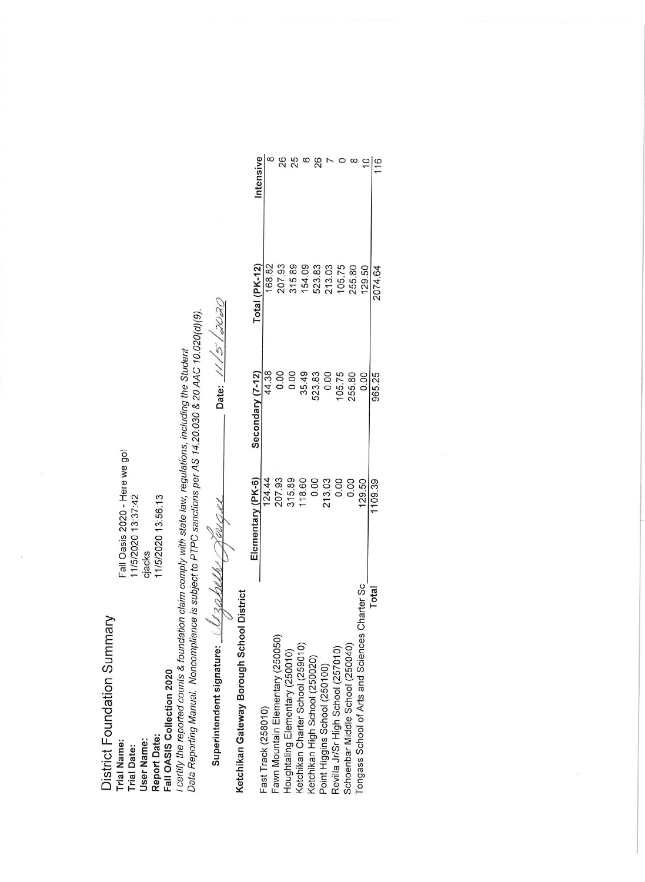Fall Oasis 2020 - Here we go! 11/5/2020 13:37:42

District Foundation Summary

**Trial Name: Trial Date:** 

11/5/2020 13:56:13 cjacks

Fall OASIS Collection 2020

**Report Date:** User Name:

Data Reporting Manual. Noncompliance is subject to PTPC sanctions per AS 14.20.030 & 20 AAC 10.020(d)(9). I certify the reported counts & foundation claim comply with state law, regulations, including the Student

2020 Date:  $11/5$ Superintendent signature:  $Uz_{\alpha}$ 

Intensive 8868708  $\frac{10}{116}$ 207.93 315.89 154.09 523.83 213.03 105.75 255.80 129.50 Total (PK-12) 168.82 2074.64 0.00 35.49 44.38 523.83  $0.00$ 105.75 255.80 0.00 965.25 Secondary (7-12) 315.89 207.93 118.60 0.00 213.03 0.00  $0.00$ 124.44 129.50 Elementary (PK-6) 109.39 Tongass School of Arts and Sciences Charter Sc Total Ketchikan Gateway Borough School District Fawn Mountain Elementary (250050) Ketchikan Charter School (259010) Schoenbar Middle School (250040) Revilla Jr/Sr High School (257010) Houghtaling Elementary (250010) Ketchikan High School (250020) Point Higgins School (250100) Fast Track (258010)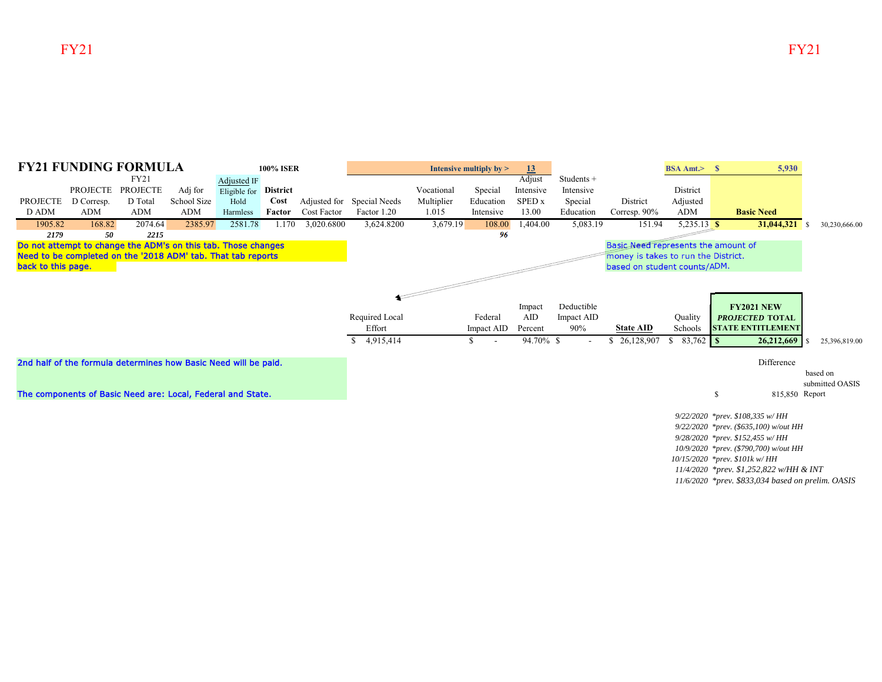

*10/15/2020 \*prev. \$101k w/ HH 11/4/2020 \*prev. \$1,252,822 w/HH & INT*

*11/6/2020 \*prev. \$833,034 based on prelim. OASIS*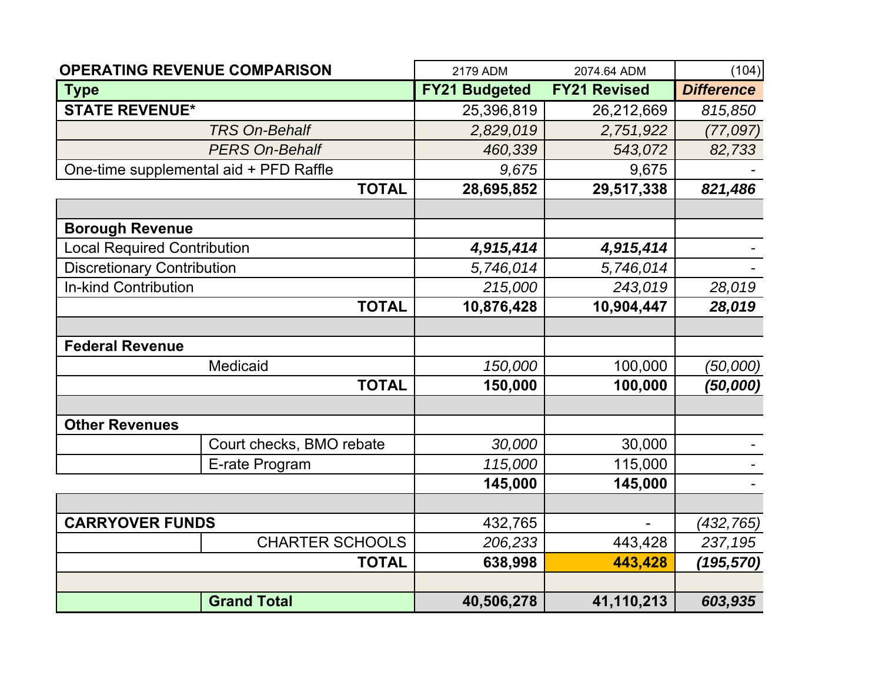| <b>OPERATING REVENUE COMPARISON</b>    |                          | 2179 ADM             | 2074.64 ADM         | (104)             |
|----------------------------------------|--------------------------|----------------------|---------------------|-------------------|
| <b>Type</b>                            |                          | <b>FY21 Budgeted</b> | <b>FY21 Revised</b> | <b>Difference</b> |
| <b>STATE REVENUE*</b>                  |                          | 25,396,819           | 26,212,669          | 815,850           |
|                                        | <b>TRS On-Behalf</b>     | 2,829,019            | 2,751,922           | (77,097)          |
|                                        | <b>PERS On-Behalf</b>    | 460,339              | 543,072             | 82,733            |
| One-time supplemental aid + PFD Raffle |                          | 9,675                | 9,675               |                   |
|                                        | <b>TOTAL</b>             | 28,695,852           | 29,517,338          | 821,486           |
|                                        |                          |                      |                     |                   |
| <b>Borough Revenue</b>                 |                          |                      |                     |                   |
| <b>Local Required Contribution</b>     |                          | 4,915,414            | 4,915,414           |                   |
| <b>Discretionary Contribution</b>      |                          | 5,746,014            | 5,746,014           |                   |
| <b>In-kind Contribution</b>            |                          | 215,000              | 243,019             | 28,019            |
|                                        | <b>TOTAL</b>             | 10,876,428           | 10,904,447          | 28,019            |
|                                        |                          |                      |                     |                   |
| <b>Federal Revenue</b>                 |                          |                      |                     |                   |
|                                        | Medicaid                 | 150,000              | 100,000             | (50,000)          |
|                                        | <b>TOTAL</b>             | 150,000              | 100,000             | (50,000)          |
|                                        |                          |                      |                     |                   |
| <b>Other Revenues</b>                  |                          |                      |                     |                   |
|                                        | Court checks, BMO rebate | 30,000               | 30,000              |                   |
|                                        | E-rate Program           | 115,000              | 115,000             |                   |
|                                        |                          | 145,000              | 145,000             |                   |
|                                        |                          |                      |                     |                   |
| <b>CARRYOVER FUNDS</b>                 |                          | 432,765              |                     | (432, 765)        |
|                                        | <b>CHARTER SCHOOLS</b>   | 206,233              | 443,428             | 237,195           |
| <b>TOTAL</b>                           |                          | 638,998              | 443,428             | (195,570)         |
|                                        |                          |                      |                     |                   |
|                                        | <b>Grand Total</b>       | 40,506,278           | 41,110,213          | 603,935           |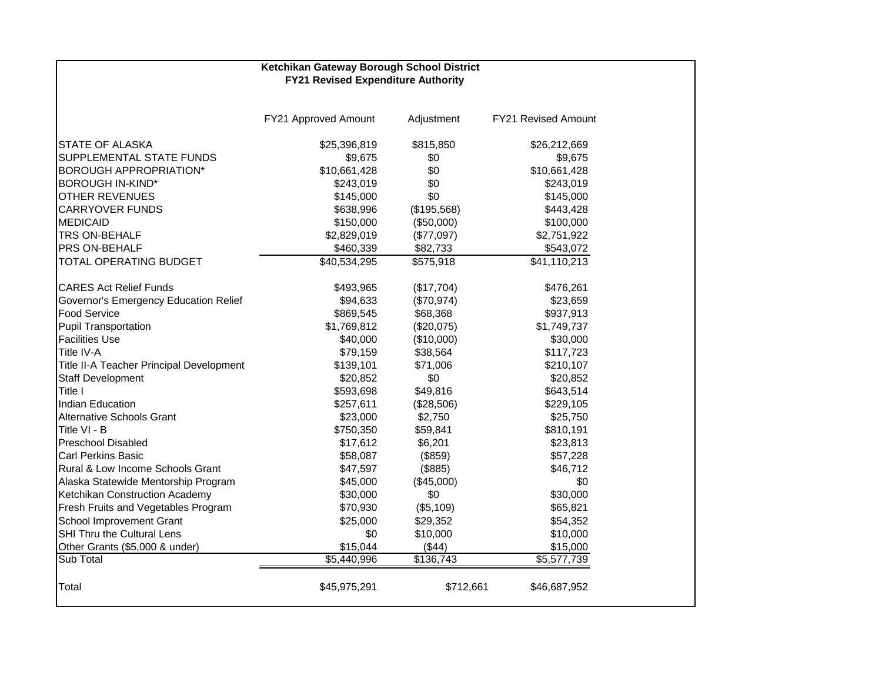# **Ketchikan Gateway Borough School District FY21 Revised Expenditure Authority**

|                                          | FY21 Approved Amount | Adjustment            | FY21 Revised Amount |
|------------------------------------------|----------------------|-----------------------|---------------------|
| <b>STATE OF ALASKA</b>                   | \$25,396,819         | \$815,850             | \$26,212,669        |
| SUPPLEMENTAL STATE FUNDS                 | \$9,675              | \$0                   | \$9,675             |
| <b>BOROUGH APPROPRIATION*</b>            | \$10,661,428         | \$0                   | \$10,661,428        |
| <b>BOROUGH IN-KIND*</b>                  | \$243,019            | \$0                   | \$243,019           |
| <b>OTHER REVENUES</b>                    | \$145,000            | \$0                   | \$145,000           |
| <b>CARRYOVER FUNDS</b>                   | \$638,996            | (\$195,568)           | \$443,428           |
| <b>MEDICAID</b>                          | \$150,000            | (\$50,000)            | \$100,000           |
| TRS ON-BEHALF                            | \$2,829,019          | (\$77,097)            | \$2,751,922         |
| PRS ON-BEHALF                            | \$460,339            | \$82,733              | \$543,072           |
| TOTAL OPERATING BUDGET                   | \$40,534,295         | \$575,918             | \$41,110,213        |
| <b>CARES Act Relief Funds</b>            | \$493,965            | (\$17,704)            | \$476,261           |
| Governor's Emergency Education Relief    | \$94,633             | (\$70,974)            | \$23,659            |
| <b>Food Service</b>                      | \$869,545            | \$68,368              | \$937,913           |
| <b>Pupil Transportation</b>              | \$1,769,812          | (\$20,075)            | \$1,749,737         |
| <b>Facilities Use</b>                    | \$40,000             | (\$10,000)            | \$30,000            |
| Title IV-A                               | \$79,159             | \$38,564              | \$117,723           |
| Title II-A Teacher Principal Development | \$139,101            | \$71,006              | \$210,107           |
| <b>Staff Development</b>                 | \$20,852             | \$0                   | \$20,852            |
| Title I                                  | \$593,698            | \$49,816              | \$643,514           |
| <b>Indian Education</b>                  | \$257,611            | (\$28,506)            | \$229,105           |
| <b>Alternative Schools Grant</b>         | \$23,000             | \$2,750               | \$25,750            |
| Title VI - B                             | \$750,350            | \$59,841              | \$810,191           |
| Preschool Disabled                       | \$17,612             | \$6,201               | \$23,813            |
| <b>Carl Perkins Basic</b>                | \$58,087             | (\$859)               | \$57,228            |
| Rural & Low Income Schools Grant         | \$47,597             | (\$885)               | \$46,712            |
| Alaska Statewide Mentorship Program      | \$45,000             | (\$45,000)            | \$0                 |
| Ketchikan Construction Academy           | \$30,000             | \$0                   | \$30,000            |
| Fresh Fruits and Vegetables Program      | \$70,930             | (\$5,109)             | \$65,821            |
| School Improvement Grant                 | \$25,000             | \$29,352              | \$54,352            |
| SHI Thru the Cultural Lens               | \$0                  | \$10,000              | \$10,000            |
| Other Grants (\$5,000 & under)           | \$15,044             | (\$44)                | \$15,000            |
| Sub Total                                | \$5,440,996          | $\overline{$}136,743$ | \$5,577,739         |
| Total                                    | \$45,975,291         | \$712,661             | \$46,687,952        |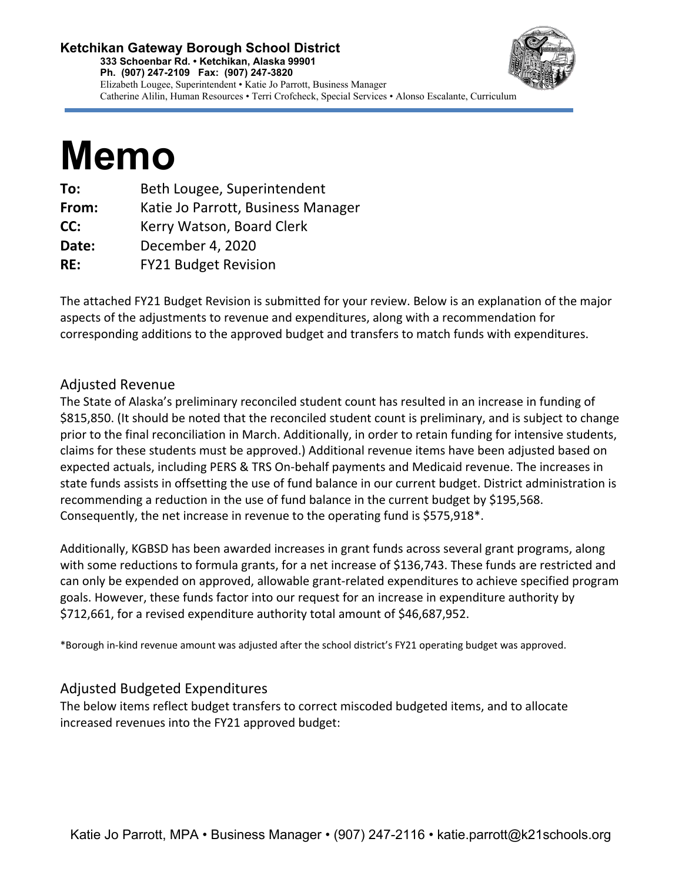# **Ketchikan Gateway Borough School District 333 Schoenbar Rd. • Ketchikan, Alaska 99901 Ph. (907) 247-2109 Fax: (907) 247-3820** Elizabeth Lougee, Superintendent • Katie Jo Parrott, Business Manager Catherine Alilin, Human Resources • Terri Crofcheck, Special Services • Alonso Escalante, Curriculum



# **Memo**

| To:   | Beth Lougee, Superintendent        |
|-------|------------------------------------|
| From: | Katie Jo Parrott, Business Manager |
| CC:   | Kerry Watson, Board Clerk          |
| Date: | December 4, 2020                   |
| RE:   | <b>FY21 Budget Revision</b>        |
|       |                                    |

The attached FY21 Budget Revision is submitted for your review. Below is an explanation of the major aspects of the adjustments to revenue and expenditures, along with a recommendation for corresponding additions to the approved budget and transfers to match funds with expenditures.

# Adjusted Revenue

The State of Alaska's preliminary reconciled student count has resulted in an increase in funding of \$815,850. (It should be noted that the reconciled student count is preliminary, and is subject to change prior to the final reconciliation in March. Additionally, in order to retain funding for intensive students, claims for these students must be approved.) Additional revenue items have been adjusted based on expected actuals, including PERS & TRS On-behalf payments and Medicaid revenue. The increases in state funds assists in offsetting the use of fund balance in our current budget. District administration is recommending a reduction in the use of fund balance in the current budget by \$195,568. Consequently, the net increase in revenue to the operating fund is \$575,918\*.

Additionally, KGBSD has been awarded increases in grant funds across several grant programs, along with some reductions to formula grants, for a net increase of \$136,743. These funds are restricted and can only be expended on approved, allowable grant-related expenditures to achieve specified program goals. However, these funds factor into our request for an increase in expenditure authority by \$712,661, for a revised expenditure authority total amount of \$46,687,952.

\*Borough in-kind revenue amount was adjusted after the school district's FY21 operating budget was approved.

# Adjusted Budgeted Expenditures

The below items reflect budget transfers to correct miscoded budgeted items, and to allocate increased revenues into the FY21 approved budget: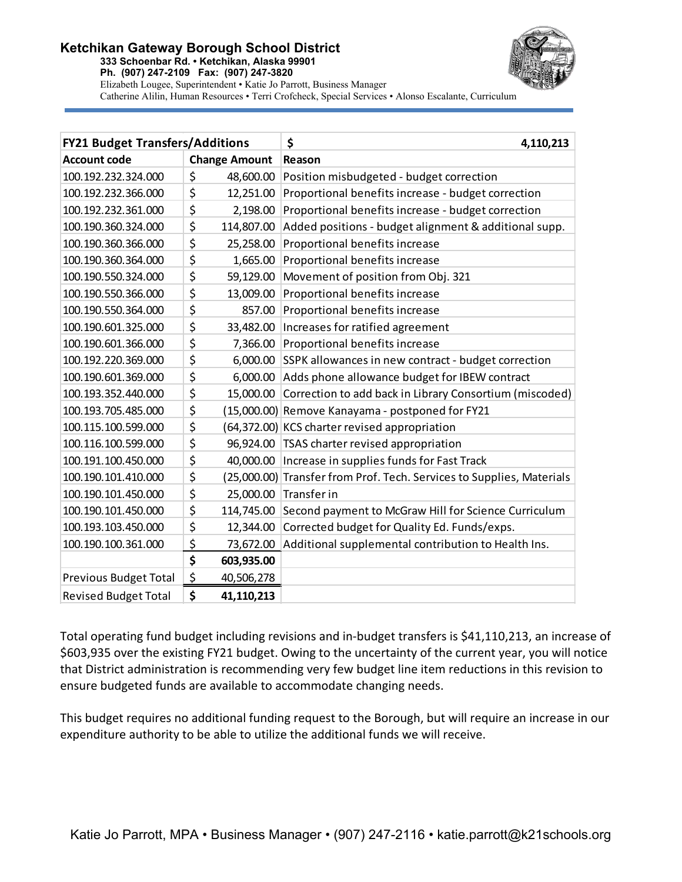# **Ketchikan Gateway Borough School District**

**333 Schoenbar Rd. • Ketchikan, Alaska 99901 Ph. (907) 247-2109 Fax: (907) 247-3820**



Elizabeth Lougee, Superintendent • Katie Jo Parrott, Business Manager Catherine Alilin, Human Resources • Terri Crofcheck, Special Services • Alonso Escalante, Curriculum

| <b>FY21 Budget Transfers/Additions</b> |                      | \$<br>4,110,213                                           |
|----------------------------------------|----------------------|-----------------------------------------------------------|
| <b>Account code</b>                    | <b>Change Amount</b> | Reason                                                    |
| 100.192.232.324.000                    | \$<br>48,600.00      | Position misbudgeted - budget correction                  |
| 100.192.232.366.000                    | \$<br>12,251.00      | Proportional benefits increase - budget correction        |
| 100.192.232.361.000                    | \$<br>2,198.00       | Proportional benefits increase - budget correction        |
| 100.190.360.324.000                    | \$<br>114,807.00     | Added positions - budget alignment & additional supp.     |
| 100.190.360.366.000                    | \$<br>25,258.00      | Proportional benefits increase                            |
| 100.190.360.364.000                    | \$<br>1,665.00       | Proportional benefits increase                            |
| 100.190.550.324.000                    | \$<br>59,129.00      | Movement of position from Obj. 321                        |
| 100.190.550.366.000                    | \$<br>13,009.00      | Proportional benefits increase                            |
| 100.190.550.364.000                    | \$<br>857.00         | Proportional benefits increase                            |
| 100.190.601.325.000                    | \$<br>33,482.00      | Increases for ratified agreement                          |
| 100.190.601.366.000                    | \$<br>7,366.00       | Proportional benefits increase                            |
| 100.192.220.369.000                    | \$<br>6,000.00       | SSPK allowances in new contract - budget correction       |
| 100.190.601.369.000                    | \$<br>6,000.00       | Adds phone allowance budget for IBEW contract             |
| 100.193.352.440.000                    | \$<br>15,000.00      | Correction to add back in Library Consortium (miscoded)   |
| 100.193.705.485.000                    | \$<br>(15,000.00)    | Remove Kanayama - postponed for FY21                      |
| 100.115.100.599.000                    | \$                   | (64,372.00) KCS charter revised appropriation             |
| 100.116.100.599.000                    | \$<br>96,924.00      | TSAS charter revised appropriation                        |
| 100.191.100.450.000                    | \$<br>40,000.00      | Increase in supplies funds for Fast Track                 |
| 100.190.101.410.000                    | \$<br>(25,000.00)    | Transfer from Prof. Tech. Services to Supplies, Materials |
| 100.190.101.450.000                    | \$<br>25,000.00      | Transfer in                                               |
| 100.190.101.450.000                    | \$<br>114,745.00     | Second payment to McGraw Hill for Science Curriculum      |
| 100.193.103.450.000                    | \$<br>12,344.00      | Corrected budget for Quality Ed. Funds/exps.              |
| 100.190.100.361.000                    | \$<br>73,672.00      | Additional supplemental contribution to Health Ins.       |
|                                        | \$<br>603,935.00     |                                                           |
| <b>Previous Budget Total</b>           | \$<br>40,506,278     |                                                           |
| <b>Revised Budget Total</b>            | \$<br>41,110,213     |                                                           |

Total operating fund budget including revisions and in-budget transfers is \$41,110,213, an increase of \$603,935 over the existing FY21 budget. Owing to the uncertainty of the current year, you will notice that District administration is recommending very few budget line item reductions in this revision to ensure budgeted funds are available to accommodate changing needs.

This budget requires no additional funding request to the Borough, but will require an increase in our expenditure authority to be able to utilize the additional funds we will receive.